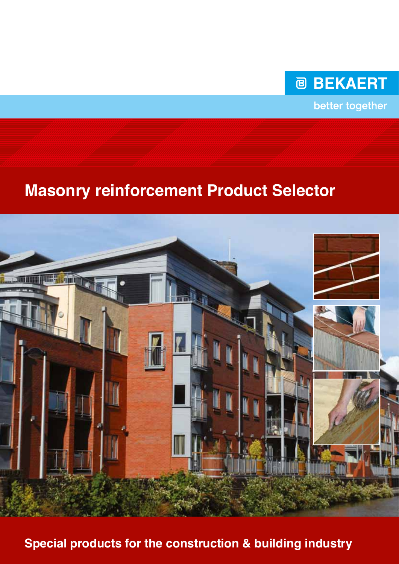

better together

# **Masonry reinforcement Product Selector**



**Special products for the construction & building industry**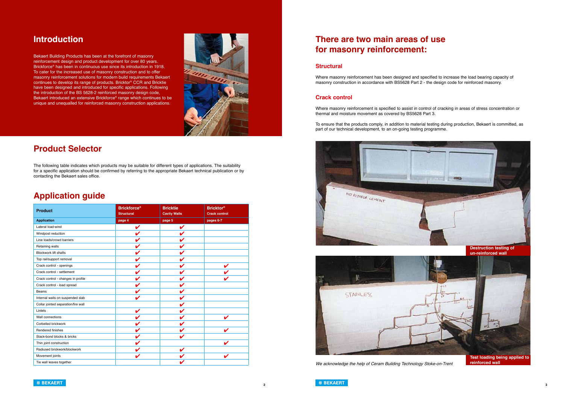



## **Introduction**

Bekaert Building Products has been at the forefront of masonry reinforcement design and product development for over 80 years. Brickforce® has been in continuous use since its introduction in 1918. To cater for the increased use of masonry construction and to offer masonry reinforcement solutions for modern build requirements Bekaert continues to develop its range of products. Bricktor® CCR and Bricktie have been designed and introduced for specific applications. Following the introduction of the BS 5628-2 reinforced masonry design code, Bekaert introduced an extensive Brickforce® range which continues to be unique and unequalled for reinforced masonry construction applications.



## **Product Selector**

The following table indicates which products may be suitable for different types of applications. The suitability for a specific application should be confirmed by referring to the appropriate Bekaert technical publication or by contacting the Bekaert sales office.

# **Application guide**

# **There are two main areas of use for masonry reinforcement:**

### **Structural**

Where masonry reinforcement has been designed and specified to increase the load bearing capacity of masonry construction in accordance with BS5628 Part 2 - the design code for reinforced masonry.

### **Crack control**

Where masonry reinforcement is specified to assist in control of cracking in areas of stress concentration or thermal and moisture movement as covered by BS5628 Part 3.

To ensure that the products comply, in addition to material testing during production, Bekaert is committed, as part of our technical development, to an on-going testing programme.





**Test loading being applied to** 

*We acknowledge the help of Ceram Building Technology Stoke-on-Trent* **reinforced wall**

| <b>Product</b>                      | <b>Brickforce®</b><br><b>Structural</b> | <b>Bricktie</b><br><b>Cavity Walls</b> | <b>Bricktor®</b><br><b>Crack control</b> |
|-------------------------------------|-----------------------------------------|----------------------------------------|------------------------------------------|
| <b>Application</b>                  | page 4                                  | page 5                                 | pages 6-7                                |
| Lateral load-wind                   | V                                       |                                        |                                          |
| Windpost reduction                  |                                         |                                        |                                          |
| Line loads/crowd barriers           |                                         |                                        |                                          |
| Retaining walls                     |                                         |                                        |                                          |
| <b>Blockwork lift shafts</b>        |                                         |                                        |                                          |
| Top rail/support removal            |                                         |                                        |                                          |
| Crack control - openings            |                                         |                                        |                                          |
| Crack control - settlement          |                                         |                                        |                                          |
| Crack control - changes in profile  |                                         |                                        |                                          |
| Crack control - load spread         |                                         |                                        |                                          |
| <b>Beams</b>                        |                                         |                                        |                                          |
| Internal walls on suspended slab    |                                         |                                        |                                          |
| Collar jointed separation/fire wall |                                         |                                        |                                          |
| Lintels                             |                                         |                                        |                                          |
| Wall connections                    |                                         |                                        |                                          |
| Corbelled brickwork                 |                                         |                                        |                                          |
| Rendered finishes                   |                                         |                                        |                                          |
| Stack-bond blocks & bricks          |                                         |                                        |                                          |
| Thin joint construction             |                                         |                                        |                                          |
| Radiused brickwork/blockwork        |                                         |                                        |                                          |
| Movement joints                     |                                         |                                        |                                          |
| Tie wall leaves together            |                                         |                                        |                                          |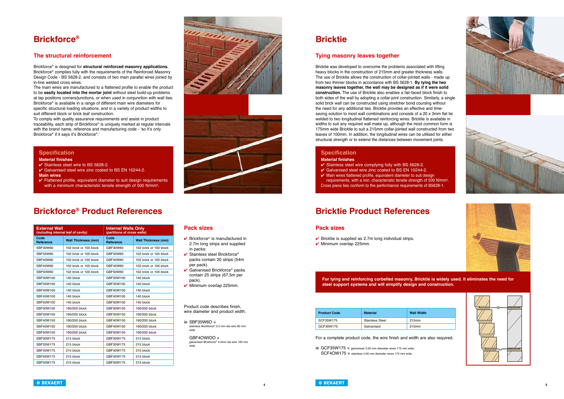













# **Brickforce®**



### **The structural reinforcement**

Brickforce® is designed for **structural reinforced masonry applications.** Brickforce® complies fully with the requirements of the Reinforced Masonry Design Code - BS 5628-2, and consists of two main parallel wires joined by in-line welded cross wires.

The main wires are manufactured to a flattened profile to enable the product to be **easily located into the mortar joint** without steel build-up problems at lap positions corners/junctions, or when used in conjunction with wall ties. Brickforce® is available in a range of different main wire diameters for specific structural loading situations, and in a variety of product widths to suit different block or brick leaf construction.

To comply with quality assurance requirements and assist in product traceability, each strip of Brickforce® is uniquely marked at regular intervals with the brand name, reference and manufacturing code - 'so it's only Brickforce® if it says it's Brickforce®.'

# **Bricktie**

### **Tying masonry leaves together**

- ie  $SBF35W6O =$ stainless Brickforce® 3.5 mm dia wire 60 mm wide
- GBF4OWIOO = galvanised Brickforce® 4.0mm dia wire 100 mm wide

Bricktie was developed to overcome the problems associated with lifting heavy blocks in the construction of 215mm and greater thickness walls. The use of Bricktie allows the construction of collar-jointed walls - made up from two thinner blocks in accordance with BS 5628-1. **By tying the two masonry leaves together, the wall may be designed as if it were solid construction.** The use of Bricktie also enables a fair-faced block finish to both sides of the wall by adopting a collar-joint construction. Similarly, a single solid brick wall can be constructed using stretcher bond coursing without the need for any additional ties. Bricktie provides an effective and timesaving solution to most wall combinations and consists of a 20 x 3mm flat tie welded to two longitudinal flattened reinforcing wires. Bricktie is available in widths to suit any required wall make up, although the most common form is 175mm wide Bricktie to suit a 215mm collar-jointed wall constructed from two leaves of 100mm. In addition, the longitudinal wires can be utilised for either structural strength or to extend the distances between movement joints.

- $\checkmark$  Stainless steel wire complying fully with BS 5628-2.
- Galvanised steel wire zinc coated to BS EN 10244-2.
- $\vee$  Main wires flattened profile, equivalent diameter to suit design requirements, with a min. characteristic tensile strength of 500 N/mm<sup>2</sup>. Cross piece ties conform to the performance requirements of B5628-1.

## **Brickforce® Product References**

Product code describes finish, wire diameter and product width.

> ie GCF35W175 = galvanised 3.50 mm diameter wires 175 mm wide. SCF4OW175 = stainless 4.00 mm diameter wires 175 mm wide.

| <b>External Wall</b><br>(including internal leaf of cavity) |                            | <b>Internal Walls Only</b><br>(partitions of cross walls) |                            |
|-------------------------------------------------------------|----------------------------|-----------------------------------------------------------|----------------------------|
| Code<br><b>Reference</b>                                    | <b>Wall Thickness (mm)</b> | Code<br><b>Reference</b>                                  | <b>Wall Thickness (mm)</b> |
| SBF30W60                                                    | 102 brick or 100 block     | GBF30W60                                                  | 102 brick or 100 block     |
| SBF35W60                                                    | 102 brick or 100 block     | GBF35W60                                                  | 102 brick or 100 block     |
| SBF40W60                                                    | 102 brick or 100 block     | GBF40W60                                                  | 102 brick or 100 block     |
| SBF45W60                                                    | 102 brick or 100 block     | GBF45W60                                                  | 102 brick or 100 block     |
| SBF50W60                                                    | 102 brick or 100 block     | GBF50W60                                                  | 102 brick or 100 block     |
| SBF30W100                                                   | 140 block                  | GBF30W100                                                 | 140 block                  |
| SBF35W100                                                   | 140 block                  | GBF35W100                                                 | 140 block                  |
| SBF40W100                                                   | 140 block                  | GBF40W100                                                 | 140 block                  |
| SBF45W100                                                   | 140 block                  | GBF45W100                                                 | 140 block                  |
| SBF50W100                                                   | 140 block                  | GBF50W100                                                 | 140 block                  |
| SBF30W150                                                   | 190/200 block              | GBF30W150                                                 | 190/200 block              |
| SBF35W150                                                   | 190/200 block              | GBF35W150                                                 | 190/200 block              |
| SBF40W150                                                   | 190/200 block              | GBF40W150                                                 | 190/200 block              |
| SBF45W150                                                   | 190/200 block              | GBF45W150                                                 | 190/200 block              |
| SBF50W150                                                   | 190/200 block              | GBF50W150                                                 | 190/200 block              |
| SBF30W175                                                   | 215 block                  | GBF30W175                                                 | 215 block                  |
| SBF35W175                                                   | 215 block                  | GBF35W175                                                 | 215 block                  |
| SBF40W175                                                   | 215 block                  | GBF40W175                                                 | 215 block                  |
| SBF45W175                                                   | 215 block                  | GBF45W175                                                 | 215 block                  |
| SBF50W175                                                   | 215 block                  | GBF50W175                                                 | 215 block                  |

| <b>Product Code</b> | Material               | <b>Wall Width</b> |
|---------------------|------------------------|-------------------|
| SCF35W175           | <b>Stainless Steel</b> | 215mm             |
| GCF35W175           | Galvanised             | 215mm             |

### **Specification**

### **Material finishes**

◆ Stainless steel wire to BS 5628-2.

- Galvanised steel wire zinc coated to BS EN 10244-2. **Main wires**
- $\checkmark$  Flattened profile, equivalent diameter to suit design requirements with a minimum characteristic tensile strength of 500 N/mm<sup>2</sup>.

### **Specification**

### **Material finishes**

## **Bricktie Product References**

### **Pack sizes**

- $\vee$  Brickforce® is manufactured in 2.7m long strips and supplied in packs:
- $\checkmark$  Stainless steel Brickforce® packs contain 20 strips (54m per pack).
- $\vee$  Galvanised Brickforce<sup>®</sup> packs contain 25 strips (67.5m per pack).
- $\overline{\mathsf{v}}$  Minimum overlap 225mm.

### **Pack sizes**

- $\vee$  Bricktie is supplied as 2.7m long individual strips.
- $\vee$  Minimum overlap 225mm.

For a complete product code, the wire finish and width are also required.

**For tying and reinforcing corbelled masonry, Bricktie is widely used. It eliminates the need for steel support systems and will simplify design and construction.**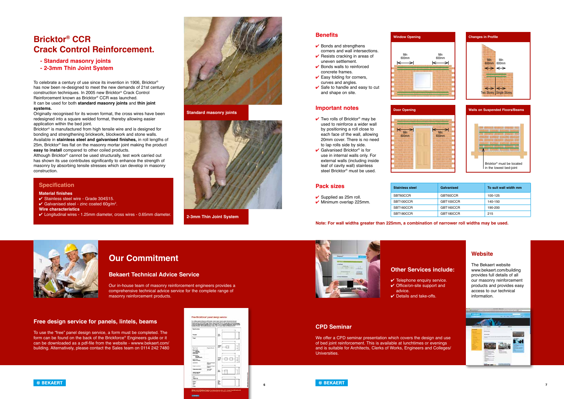

# **Bricktor® CCR Crack Control Reinforcement.**

- **Standard masonry joints**
- **2-3mm Thin Joint System**

To celebrate a century of use since its invention in 1906, Bricktor® has now been re-designed to meet the new demands of 21st century construction techniques. In 2005 new Bricktor® Crack Control Reinforcement known as Bricktor® CCR was launched. It can be used for both **standard masonry joints** and **thin joint systems.**

Originally recognised for its woven format, the cross wires have been redesigned into a square welded format, thereby allowing easier application within the bed joint.

Bricktor® is manufactured from high tensile wire and is designed for bonding and strengthening brickwork, blockwork and stone walls. Available in **stainless steel and galvanised finishes,** in roll lengths of 25m, Bricktor® lies flat on the masonry mortar joint making the product **easy to install** compared to other coiled products.

- $\vee$  Bonds and strengthens corners and wall intersections.
- $\vee$  Resists cracking in areas of uneven settlement.
- $\vee$  Bonds walls to reinforced concrete frames.
- $\checkmark$  Easy folding for corners. curves and angles.
- $\checkmark$  Safe to handle and easy to cut and shape on site.

Although Bricktor® cannot be used structurally, test work carried out has shown its use contributes significantly to enhance the strength of masonry by absorbing tensile stresses which can develop in masonry construction.

- $\checkmark$  Two rolls of Bricktor<sup>®</sup> may be used to reinforce a wider wall by positioning a roll close to each face of the wall, allowing 20mm cover. There is no need to lap rolls side by side.
- $\checkmark$  Galvanised Bricktor® is for use in internal walls only. For external walls (including inside leaf of cavity wall) stainless steel Bricktor® must be used.

 $\leq$  Min 600mm

**Door Opening** 





**Standard masonry joints**



**2-3mm Thin Joint System**

### **Pack sizes**

- $\checkmark$  Supplied as 25m roll.
- $\checkmark$  Minimum overlap 225mm.

| <b>Stainless steel</b> | Galvanised | To suit wall width mm |
|------------------------|------------|-----------------------|
| SBT60CCR               | GBT60CCR   | 100-125               |
| SBT100CCR              | GBT100CCR  | 140-150               |
| SBT160CCR              | GBT160CCR  | 190-200               |
| SBT180CCR              | GBT180CCR  | 215                   |

### **Benefits**

### **Important notes**

|                           | <b>Changes in Profile</b>                                                                                                            |
|---------------------------|--------------------------------------------------------------------------------------------------------------------------------------|
| Min<br>600mm<br>⇤<br>→    | Min<br>Min<br>600mm<br>600mm<br>$\leftrightarrow \leftrightarrow$<br>$\leftrightarrow$ $\leftrightarrow$<br>Two Storey Single Storey |
|                           | <b>Walls on Suspended Floors/Beams</b>                                                                                               |
| $K_{\text{Min}}$<br>600mm | Bricktor <sup>®</sup> must be located<br>in the lowest bed-joint                                                                     |

### **Specification**

### **Material finishes**

- 4 Stainless steel wire Grade 304S15.
- Galvanised steel zinc coated  $60$ g/m<sup>2</sup>.
- **Wire characteristics**
- 4 Longitudinal wires 1.25mm diameter, cross wires 0.65mm diameter.

Min 600mm

**Window Opening**

**Note: For wall widths greater than 225mm, a combination of narrower roll widths may be used.**

## **Our Commitment**

### **Bekaert Technical Advice Service**

Our in-house team of masonry reinforcement engineers provides a comprehensive technical advice service for the complete range of masonry reinforcement products.

### **Free design service for panels, lintels, beams**

To use the "free" panel design service, a form must be completed. The form can be found on the back of the Brickforce® Engineers guide or it can be downloaded as a pdf-file from the website - wwww.bekaert.com/ building. Alternatively, please contact the Sales team on 0114 242 7480





### **Other Services include:**

- $\checkmark$  Telephone enquiry service.  $\checkmark$  Office/on-site support and advice.
- $\vee$  Details and take-offs.

### **CPD Seminar**

We offer a CPD seminar presentation which covers the design and use of bed joint reinforcement. This is available at lunchtimes or evenings and is suitable for Architects, Clerks of Works, Engineers and Colleges/ Universities.



### **Website**

The Bekaert website www.bekaert.com/building provides full details of all our masonry reinforcement products and provides easy access to our technical information.